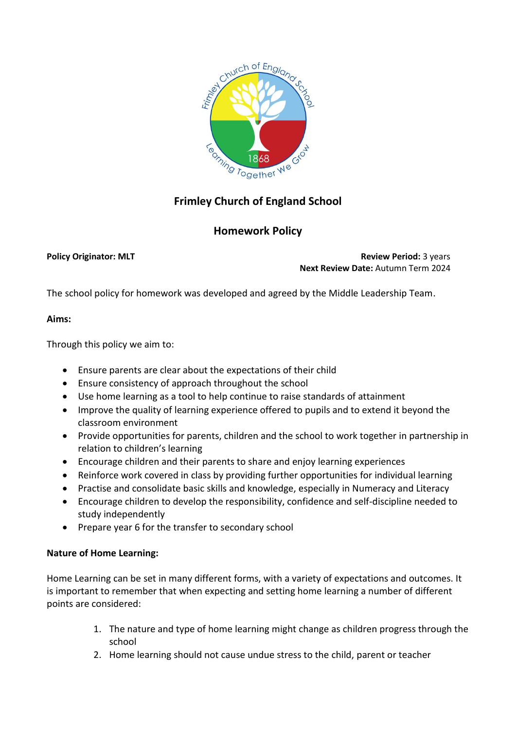

# **Frimley Church of England School**

## **Homework Policy**

**Policy Originator: MLT Review Period:** 3 years **Next Review Date:** Autumn Term 2024

The school policy for homework was developed and agreed by the Middle Leadership Team.

#### **Aims:**

Through this policy we aim to:

- Ensure parents are clear about the expectations of their child
- Ensure consistency of approach throughout the school
- Use home learning as a tool to help continue to raise standards of attainment
- Improve the quality of learning experience offered to pupils and to extend it beyond the classroom environment
- Provide opportunities for parents, children and the school to work together in partnership in relation to children's learning
- Encourage children and their parents to share and enjoy learning experiences
- Reinforce work covered in class by providing further opportunities for individual learning
- Practise and consolidate basic skills and knowledge, especially in Numeracy and Literacy
- Encourage children to develop the responsibility, confidence and self-discipline needed to study independently
- Prepare year 6 for the transfer to secondary school

#### **Nature of Home Learning:**

Home Learning can be set in many different forms, with a variety of expectations and outcomes. It is important to remember that when expecting and setting home learning a number of different points are considered:

- 1. The nature and type of home learning might change as children progress through the school
- 2. Home learning should not cause undue stress to the child, parent or teacher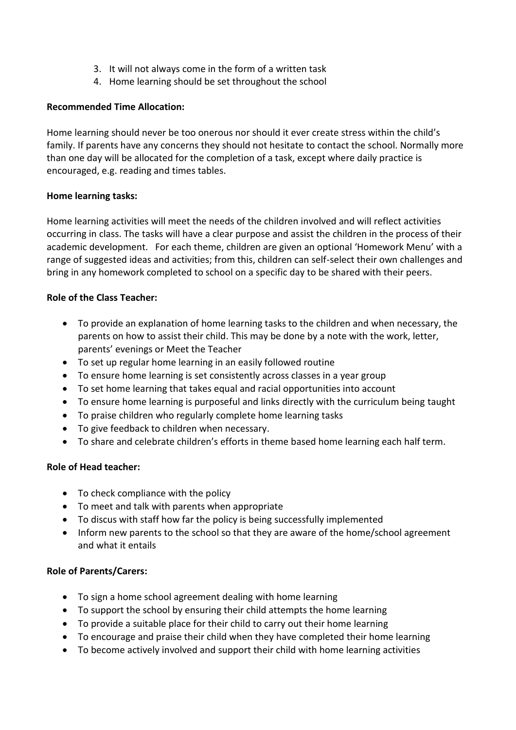- 3. It will not always come in the form of a written task
- 4. Home learning should be set throughout the school

#### **Recommended Time Allocation:**

Home learning should never be too onerous nor should it ever create stress within the child's family. If parents have any concerns they should not hesitate to contact the school. Normally more than one day will be allocated for the completion of a task, except where daily practice is encouraged, e.g. reading and times tables.

### **Home learning tasks:**

Home learning activities will meet the needs of the children involved and will reflect activities occurring in class. The tasks will have a clear purpose and assist the children in the process of their academic development. For each theme, children are given an optional 'Homework Menu' with a range of suggested ideas and activities; from this, children can self-select their own challenges and bring in any homework completed to school on a specific day to be shared with their peers.

### **Role of the Class Teacher:**

- To provide an explanation of home learning tasks to the children and when necessary, the parents on how to assist their child. This may be done by a note with the work, letter, parents' evenings or Meet the Teacher
- To set up regular home learning in an easily followed routine
- To ensure home learning is set consistently across classes in a year group
- To set home learning that takes equal and racial opportunities into account
- To ensure home learning is purposeful and links directly with the curriculum being taught
- To praise children who regularly complete home learning tasks
- To give feedback to children when necessary.
- To share and celebrate children's efforts in theme based home learning each half term.

#### **Role of Head teacher:**

- To check compliance with the policy
- To meet and talk with parents when appropriate
- To discus with staff how far the policy is being successfully implemented
- Inform new parents to the school so that they are aware of the home/school agreement and what it entails

#### **Role of Parents/Carers:**

- To sign a home school agreement dealing with home learning
- To support the school by ensuring their child attempts the home learning
- To provide a suitable place for their child to carry out their home learning
- To encourage and praise their child when they have completed their home learning
- To become actively involved and support their child with home learning activities